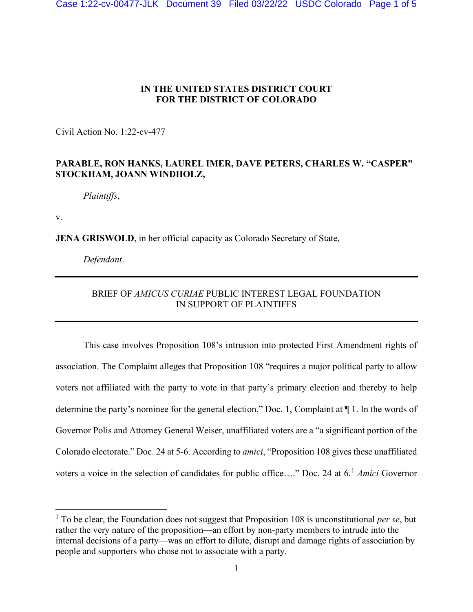## **IN THE UNITED STATES DISTRICT COURT FOR THE DISTRICT OF COLORADO**

Civil Action No. 1:22-cv-477

## **PARABLE, RON HANKS, LAUREL IMER, DAVE PETERS, CHARLES W. "CASPER" STOCKHAM, JOANN WINDHOLZ,**

*Plaintiffs*,

v.

**JENA GRISWOLD**, in her official capacity as Colorado Secretary of State,

*Defendant*.

## BRIEF OF *AMICUS CURIAE* PUBLIC INTEREST LEGAL FOUNDATION IN SUPPORT OF PLAINTIFFS

This case involves Proposition 108's intrusion into protected First Amendment rights of association. The Complaint alleges that Proposition 108 "requires a major political party to allow voters not affiliated with the party to vote in that party's primary election and thereby to help determine the party's nominee for the general election." Doc. 1, Complaint at ¶ 1. In the words of Governor Polis and Attorney General Weiser, unaffiliated voters are a "a significant portion of the Colorado electorate." Doc. 24 at 5-6. According to *amici*, "Proposition 108 gives these unaffiliated voters a voice in the selection of candidates for public office…." Doc. 24 at 6. [1](#page-0-0) *Amici* Governor

<span id="page-0-0"></span><sup>&</sup>lt;sup>1</sup> To be clear, the Foundation does not suggest that Proposition 108 is unconstitutional *per se*, but rather the very nature of the proposition—an effort by non-party members to intrude into the internal decisions of a party—was an effort to dilute, disrupt and damage rights of association by people and supporters who chose not to associate with a party.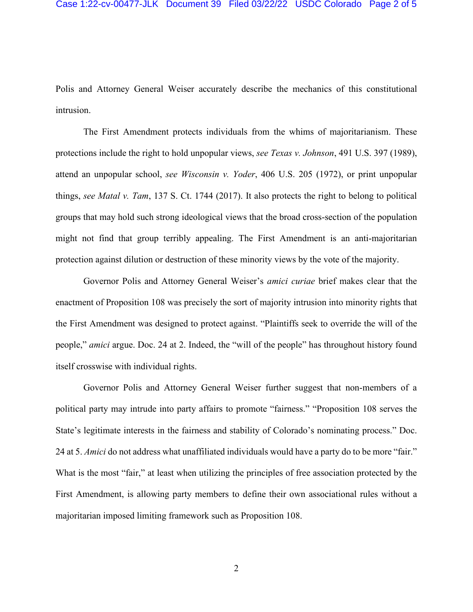Polis and Attorney General Weiser accurately describe the mechanics of this constitutional intrusion.

The First Amendment protects individuals from the whims of majoritarianism. These protections include the right to hold unpopular views, *see Texas v. Johnson*, 491 U.S. 397 (1989), attend an unpopular school, *see Wisconsin v. Yoder*, 406 U.S. 205 (1972), or print unpopular things, *see Matal v. Tam*, 137 S. Ct. 1744 (2017). It also protects the right to belong to political groups that may hold such strong ideological views that the broad cross-section of the population might not find that group terribly appealing. The First Amendment is an anti-majoritarian protection against dilution or destruction of these minority views by the vote of the majority.

Governor Polis and Attorney General Weiser's *amici curiae* brief makes clear that the enactment of Proposition 108 was precisely the sort of majority intrusion into minority rights that the First Amendment was designed to protect against. "Plaintiffs seek to override the will of the people," *amici* argue. Doc. 24 at 2. Indeed, the "will of the people" has throughout history found itself crosswise with individual rights.

Governor Polis and Attorney General Weiser further suggest that non-members of a political party may intrude into party affairs to promote "fairness." "Proposition 108 serves the State's legitimate interests in the fairness and stability of Colorado's nominating process." Doc. 24 at 5. *Amici* do not address what unaffiliated individuals would have a party do to be more "fair." What is the most "fair," at least when utilizing the principles of free association protected by the First Amendment, is allowing party members to define their own associational rules without a majoritarian imposed limiting framework such as Proposition 108.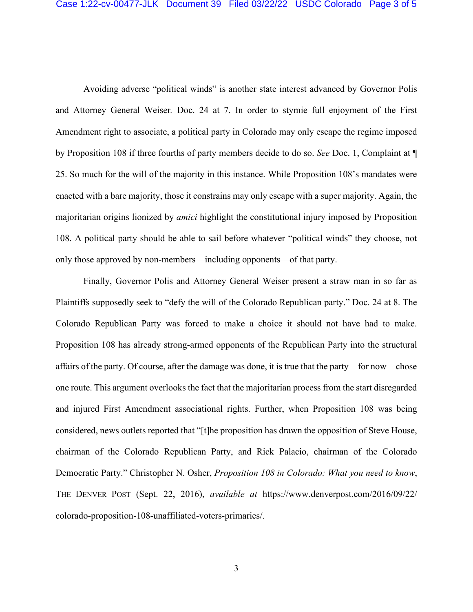Avoiding adverse "political winds" is another state interest advanced by Governor Polis and Attorney General Weiser*.* Doc. 24 at 7. In order to stymie full enjoyment of the First Amendment right to associate, a political party in Colorado may only escape the regime imposed by Proposition 108 if three fourths of party members decide to do so. *See* Doc. 1, Complaint at ¶ 25. So much for the will of the majority in this instance. While Proposition 108's mandates were enacted with a bare majority, those it constrains may only escape with a super majority. Again, the majoritarian origins lionized by *amici* highlight the constitutional injury imposed by Proposition 108. A political party should be able to sail before whatever "political winds" they choose, not only those approved by non-members—including opponents—of that party.

Finally, Governor Polis and Attorney General Weiser present a straw man in so far as Plaintiffs supposedly seek to "defy the will of the Colorado Republican party." Doc. 24 at 8. The Colorado Republican Party was forced to make a choice it should not have had to make. Proposition 108 has already strong-armed opponents of the Republican Party into the structural affairs of the party. Of course, after the damage was done, it is true that the party—for now—chose one route. This argument overlooks the fact that the majoritarian process from the start disregarded and injured First Amendment associational rights. Further, when Proposition 108 was being considered, news outlets reported that "[t]he proposition has drawn the opposition of Steve House, chairman of the Colorado Republican Party, and Rick Palacio, chairman of the Colorado Democratic Party." Christopher N. Osher, *Proposition 108 in Colorado: What you need to know*, THE DENVER POST (Sept. 22, 2016), *available at* https://www.denverpost.com/2016/09/22/ colorado-proposition-108-unaffiliated-voters-primaries/.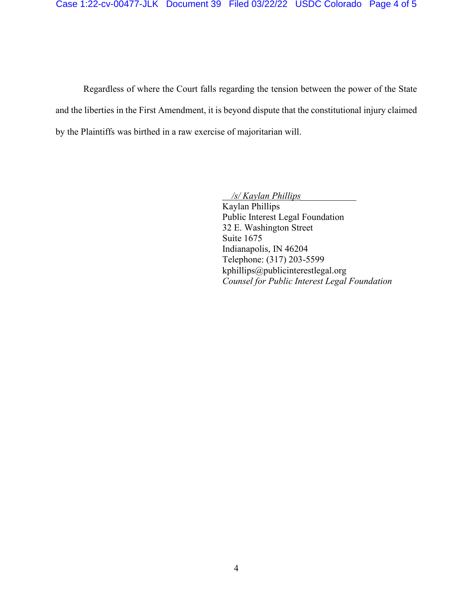Regardless of where the Court falls regarding the tension between the power of the State and the liberties in the First Amendment, it is beyond dispute that the constitutional injury claimed by the Plaintiffs was birthed in a raw exercise of majoritarian will.

> */s/ Kaylan Phillips\_\_\_\_\_\_\_\_\_\_\_\_*  Kaylan Phillips Public Interest Legal Foundation 32 E. Washington Street Suite 1675 Indianapolis, IN 46204 Telephone: (317) 203-5599 kphillips@publicinterestlegal.org *Counsel for Public Interest Legal Foundation*